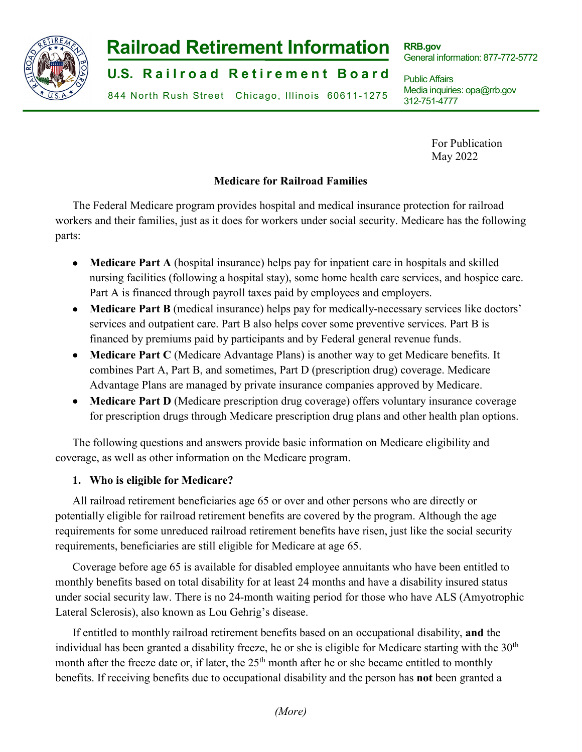

# **Railroad Retirement Information**

**U.S. Railroad Retirement Board** 

844 North Rush Street Chicago, Illinois 60611-1275

**RRB.gov** General information: 877-772-5772

Public Affairs Media inquiries: opa@rrb.gov 312-751-4777

> For Publication May 2022

# **Medicare for Railroad Families**

The Federal Medicare program provides hospital and medical insurance protection for railroad workers and their families, just as it does for workers under social security. Medicare has the following parts:

- **Medicare Part A** (hospital insurance) helps pay for inpatient care in hospitals and skilled nursing facilities (following a hospital stay), some home health care services, and hospice care. Part A is financed through payroll taxes paid by employees and employers.
- **Medicare Part B** (medical insurance) helps pay for medically-necessary services like doctors' services and outpatient care. Part B also helps cover some preventive services. Part B is financed by premiums paid by participants and by Federal general revenue funds.
- **Medicare Part C** (Medicare Advantage Plans) is another way to get Medicare benefits. It combines Part A, Part B, and sometimes, Part D (prescription drug) coverage. Medicare Advantage Plans are managed by private insurance companies approved by Medicare.
- **Medicare Part D** (Medicare prescription drug coverage) offers voluntary insurance coverage for prescription drugs through Medicare prescription drug plans and other health plan options.

The following questions and answers provide basic information on Medicare eligibility and coverage, as well as other information on the Medicare program.

## **1. Who is eligible for Medicare?**

All railroad retirement beneficiaries age 65 or over and other persons who are directly or potentially eligible for railroad retirement benefits are covered by the program. Although the age requirements for some unreduced railroad retirement benefits have risen, just like the social security requirements, beneficiaries are still eligible for Medicare at age 65.

Coverage before age 65 is available for disabled employee annuitants who have been entitled to monthly benefits based on total disability for at least 24 months and have a disability insured status under social security law. There is no 24-month waiting period for those who have ALS (Amyotrophic Lateral Sclerosis), also known as Lou Gehrig's disease.

If entitled to monthly railroad retirement benefits based on an occupational disability, **and** the individual has been granted a disability freeze, he or she is eligible for Medicare starting with the  $30<sup>th</sup>$ month after the freeze date or, if later, the  $25<sup>th</sup>$  month after he or she became entitled to monthly benefits. If receiving benefits due to occupational disability and the person has **not** been granted a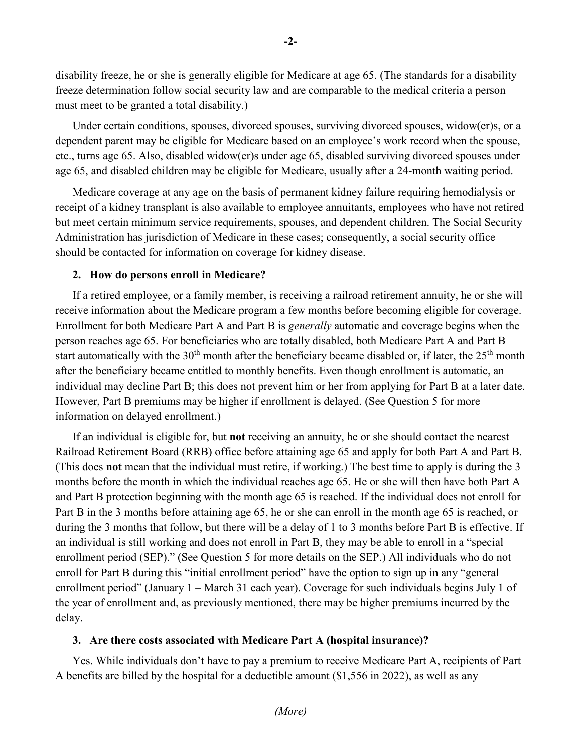disability freeze, he or she is generally eligible for Medicare at age 65. (The standards for a disability freeze determination follow social security law and are comparable to the medical criteria a person must meet to be granted a total disability.)

Under certain conditions, spouses, divorced spouses, surviving divorced spouses, widow(er)s, or a dependent parent may be eligible for Medicare based on an employee's work record when the spouse, etc., turns age 65. Also, disabled widow(er)s under age 65, disabled surviving divorced spouses under age 65, and disabled children may be eligible for Medicare, usually after a 24-month waiting period.

Medicare coverage at any age on the basis of permanent kidney failure requiring hemodialysis or receipt of a kidney transplant is also available to employee annuitants, employees who have not retired but meet certain minimum service requirements, spouses, and dependent children. The Social Security Administration has jurisdiction of Medicare in these cases; consequently, a social security office should be contacted for information on coverage for kidney disease.

## **2. How do persons enroll in Medicare?**

If a retired employee, or a family member, is receiving a railroad retirement annuity, he or she will receive information about the Medicare program a few months before becoming eligible for coverage. Enrollment for both Medicare Part A and Part B is *generally* automatic and coverage begins when the person reaches age 65. For beneficiaries who are totally disabled, both Medicare Part A and Part B start automatically with the  $30<sup>th</sup>$  month after the beneficiary became disabled or, if later, the  $25<sup>th</sup>$  month after the beneficiary became entitled to monthly benefits. Even though enrollment is automatic, an individual may decline Part B; this does not prevent him or her from applying for Part B at a later date. However, Part B premiums may be higher if enrollment is delayed. (See Question 5 for more information on delayed enrollment.)

If an individual is eligible for, but **not** receiving an annuity, he or she should contact the nearest Railroad Retirement Board (RRB) office before attaining age 65 and apply for both Part A and Part B. (This does **not** mean that the individual must retire, if working.) The best time to apply is during the 3 months before the month in which the individual reaches age 65. He or she will then have both Part A and Part B protection beginning with the month age 65 is reached. If the individual does not enroll for Part B in the 3 months before attaining age 65, he or she can enroll in the month age 65 is reached, or during the 3 months that follow, but there will be a delay of 1 to 3 months before Part B is effective. If an individual is still working and does not enroll in Part B, they may be able to enroll in a "special enrollment period (SEP)." (See Question 5 for more details on the SEP.) All individuals who do not enroll for Part B during this "initial enrollment period" have the option to sign up in any "general enrollment period" (January 1 – March 31 each year). Coverage for such individuals begins July 1 of the year of enrollment and, as previously mentioned, there may be higher premiums incurred by the delay.

#### **3. Are there costs associated with Medicare Part A (hospital insurance)?**

Yes. While individuals don't have to pay a premium to receive Medicare Part A, recipients of Part A benefits are billed by the hospital for a deductible amount (\$1,556 in 2022), as well as any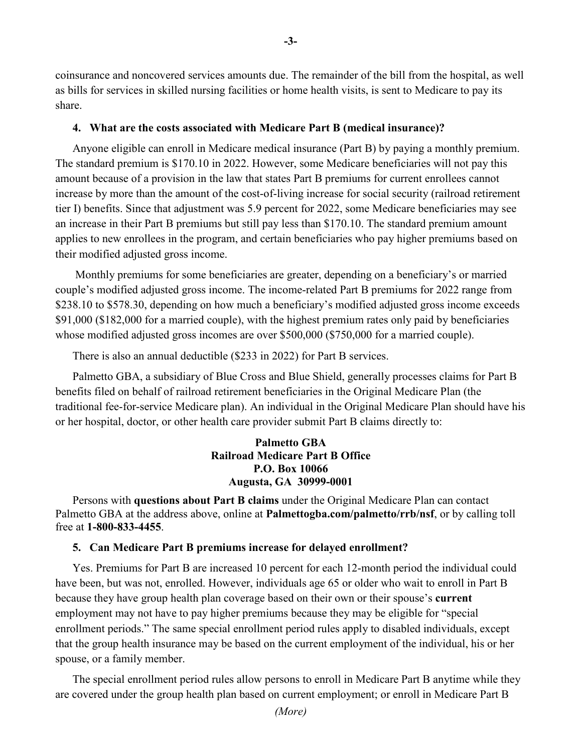coinsurance and noncovered services amounts due. The remainder of the bill from the hospital, as well as bills for services in skilled nursing facilities or home health visits, is sent to Medicare to pay its share.

**-3-**

#### **4. What are the costs associated with Medicare Part B (medical insurance)?**

Anyone eligible can enroll in Medicare medical insurance (Part B) by paying a monthly premium. The standard premium is \$170.10 in 2022. However, some Medicare beneficiaries will not pay this amount because of a provision in the law that states Part B premiums for current enrollees cannot increase by more than the amount of the cost-of-living increase for social security (railroad retirement tier I) benefits. Since that adjustment was 5.9 percent for 2022, some Medicare beneficiaries may see an increase in their Part B premiums but still pay less than \$170.10. The standard premium amount applies to new enrollees in the program, and certain beneficiaries who pay higher premiums based on their modified adjusted gross income.

Monthly premiums for some beneficiaries are greater, depending on a beneficiary's or married couple's modified adjusted gross income. The income-related Part B premiums for 2022 range from \$238.10 to \$578.30, depending on how much a beneficiary's modified adjusted gross income exceeds \$91,000 (\$182,000 for a married couple), with the highest premium rates only paid by beneficiaries whose modified adjusted gross incomes are over \$500,000 (\$750,000 for a married couple).

There is also an annual deductible (\$233 in 2022) for Part B services.

Palmetto GBA, a subsidiary of Blue Cross and Blue Shield, generally processes claims for Part B benefits filed on behalf of railroad retirement beneficiaries in the Original Medicare Plan (the traditional fee-for-service Medicare plan). An individual in the Original Medicare Plan should have his or her hospital, doctor, or other health care provider submit Part B claims directly to:

## **Palmetto GBA Railroad Medicare Part B Office P.O. Box 10066 Augusta, GA 30999-0001**

Persons with **questions about Part B claims** under the Original Medicare Plan can contact Palmetto GBA at the address above, online at **Palmettogba.com/palmetto/rrb/nsf**, or by calling toll free at **1-800-833-4455**.

#### **5. Can Medicare Part B premiums increase for delayed enrollment?**

Yes. Premiums for Part B are increased 10 percent for each 12-month period the individual could have been, but was not, enrolled. However, individuals age 65 or older who wait to enroll in Part B because they have group health plan coverage based on their own or their spouse's **current** employment may not have to pay higher premiums because they may be eligible for "special enrollment periods." The same special enrollment period rules apply to disabled individuals, except that the group health insurance may be based on the current employment of the individual, his or her spouse, or a family member.

The special enrollment period rules allow persons to enroll in Medicare Part B anytime while they are covered under the group health plan based on current employment; or enroll in Medicare Part B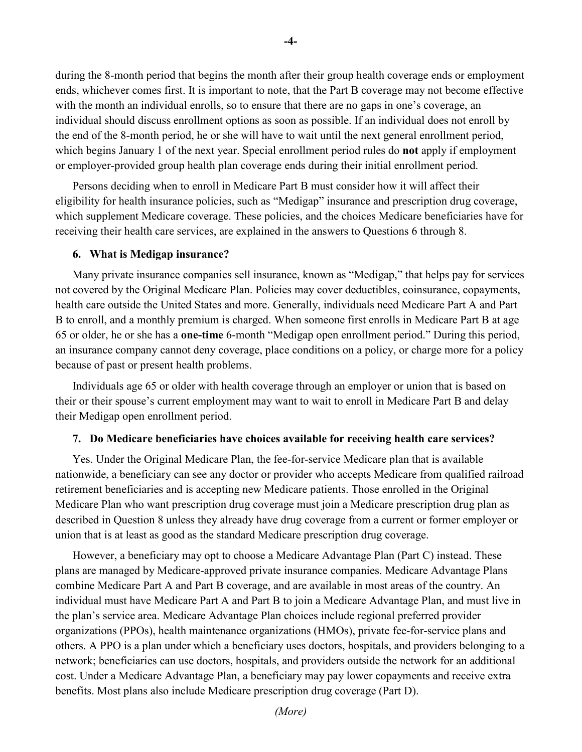during the 8-month period that begins the month after their group health coverage ends or employment ends, whichever comes first. It is important to note, that the Part B coverage may not become effective with the month an individual enrolls, so to ensure that there are no gaps in one's coverage, an individual should discuss enrollment options as soon as possible. If an individual does not enroll by the end of the 8-month period, he or she will have to wait until the next general enrollment period, which begins January 1 of the next year. Special enrollment period rules do **not** apply if employment or employer-provided group health plan coverage ends during their initial enrollment period.

Persons deciding when to enroll in Medicare Part B must consider how it will affect their eligibility for health insurance policies, such as "Medigap" insurance and prescription drug coverage, which supplement Medicare coverage. These policies, and the choices Medicare beneficiaries have for receiving their health care services, are explained in the answers to Questions 6 through 8.

#### **6. What is Medigap insurance?**

Many private insurance companies sell insurance, known as "Medigap," that helps pay for services not covered by the Original Medicare Plan. Policies may cover deductibles, coinsurance, copayments, health care outside the United States and more. Generally, individuals need Medicare Part A and Part B to enroll, and a monthly premium is charged. When someone first enrolls in Medicare Part B at age 65 or older, he or she has a **one-time** 6-month "Medigap open enrollment period." During this period, an insurance company cannot deny coverage, place conditions on a policy, or charge more for a policy because of past or present health problems.

Individuals age 65 or older with health coverage through an employer or union that is based on their or their spouse's current employment may want to wait to enroll in Medicare Part B and delay their Medigap open enrollment period.

#### **7. Do Medicare beneficiaries have choices available for receiving health care services?**

Yes. Under the Original Medicare Plan, the fee-for-service Medicare plan that is available nationwide, a beneficiary can see any doctor or provider who accepts Medicare from qualified railroad retirement beneficiaries and is accepting new Medicare patients. Those enrolled in the Original Medicare Plan who want prescription drug coverage must join a Medicare prescription drug plan as described in Question 8 unless they already have drug coverage from a current or former employer or union that is at least as good as the standard Medicare prescription drug coverage.

However, a beneficiary may opt to choose a Medicare Advantage Plan (Part C) instead. These plans are managed by Medicare-approved private insurance companies. Medicare Advantage Plans combine Medicare Part A and Part B coverage, and are available in most areas of the country. An individual must have Medicare Part A and Part B to join a Medicare Advantage Plan, and must live in the plan's service area. Medicare Advantage Plan choices include regional preferred provider organizations (PPOs), health maintenance organizations (HMOs), private fee-for-service plans and others. A PPO is a plan under which a beneficiary uses doctors, hospitals, and providers belonging to a network; beneficiaries can use doctors, hospitals, and providers outside the network for an additional cost. Under a Medicare Advantage Plan, a beneficiary may pay lower copayments and receive extra benefits. Most plans also include Medicare prescription drug coverage (Part D).

**-4-**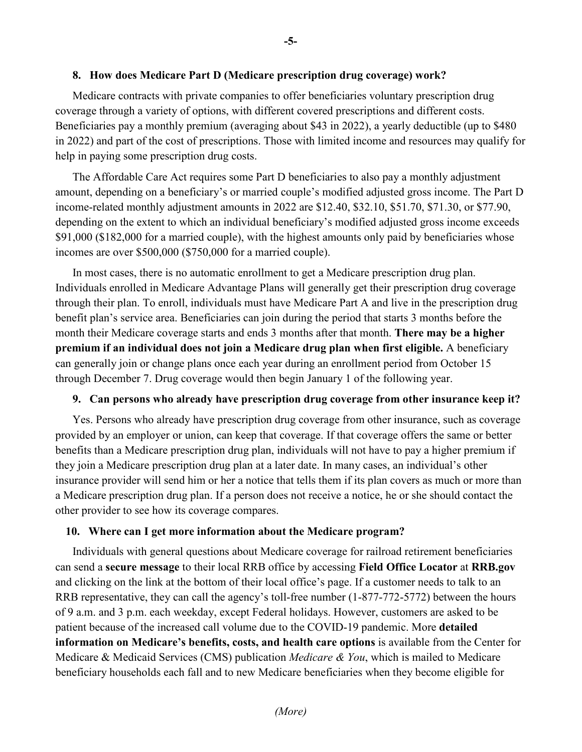## **8. How does Medicare Part D (Medicare prescription drug coverage) work?**

Medicare contracts with private companies to offer beneficiaries voluntary prescription drug coverage through a variety of options, with different covered prescriptions and different costs. Beneficiaries pay a monthly premium (averaging about \$43 in 2022), a yearly deductible (up to \$480 in 2022) and part of the cost of prescriptions. Those with limited income and resources may qualify for help in paying some prescription drug costs.

The Affordable Care Act requires some Part D beneficiaries to also pay a monthly adjustment amount, depending on a beneficiary's or married couple's modified adjusted gross income. The Part D income-related monthly adjustment amounts in 2022 are \$12.40, \$32.10, \$51.70, \$71.30, or \$77.90, depending on the extent to which an individual beneficiary's modified adjusted gross income exceeds \$91,000 (\$182,000 for a married couple), with the highest amounts only paid by beneficiaries whose incomes are over \$500,000 (\$750,000 for a married couple).

In most cases, there is no automatic enrollment to get a Medicare prescription drug plan. Individuals enrolled in Medicare Advantage Plans will generally get their prescription drug coverage through their plan. To enroll, individuals must have Medicare Part A and live in the prescription drug benefit plan's service area. Beneficiaries can join during the period that starts 3 months before the month their Medicare coverage starts and ends 3 months after that month. **There may be a higher premium if an individual does not join a Medicare drug plan when first eligible.** A beneficiary can generally join or change plans once each year during an enrollment period from October 15 through December 7. Drug coverage would then begin January 1 of the following year.

#### **9. Can persons who already have prescription drug coverage from other insurance keep it?**

Yes. Persons who already have prescription drug coverage from other insurance, such as coverage provided by an employer or union, can keep that coverage. If that coverage offers the same or better benefits than a Medicare prescription drug plan, individuals will not have to pay a higher premium if they join a Medicare prescription drug plan at a later date. In many cases, an individual's other insurance provider will send him or her a notice that tells them if its plan covers as much or more than a Medicare prescription drug plan. If a person does not receive a notice, he or she should contact the other provider to see how its coverage compares.

#### **10. Where can I get more information about the Medicare program?**

Individuals with general questions about Medicare coverage for railroad retirement beneficiaries can send a **secure message** to their local RRB office by accessing **Field Office Locator** at **RRB.gov** and clicking on the link at the bottom of their local office's page. If a customer needs to talk to an RRB representative, they can call the agency's toll-free number (1-877-772-5772) between the hours of 9 a.m. and 3 p.m. each weekday, except Federal holidays. However, customers are asked to be patient because of the increased call volume due to the COVID-19 pandemic. More **detailed information on Medicare's benefits, costs, and health care options** is available from the Center for Medicare & Medicaid Services (CMS) publication *Medicare & You*, which is mailed to Medicare beneficiary households each fall and to new Medicare beneficiaries when they become eligible for